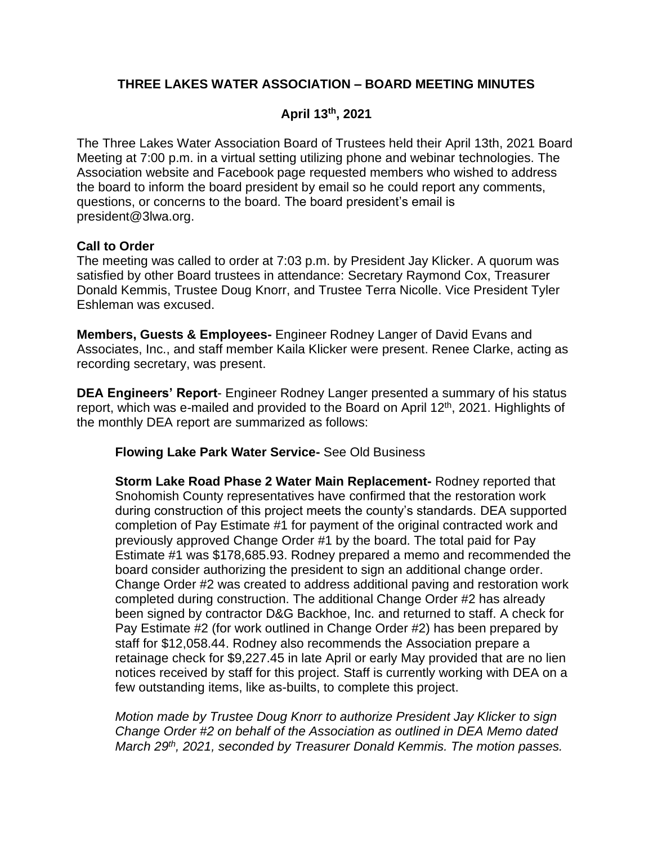# **THREE LAKES WATER ASSOCIATION – BOARD MEETING MINUTES**

# **April 13th, 2021**

The Three Lakes Water Association Board of Trustees held their April 13th, 2021 Board Meeting at 7:00 p.m. in a virtual setting utilizing phone and webinar technologies. The Association website and Facebook page requested members who wished to address the board to inform the board president by email so he could report any comments, questions, or concerns to the board. The board president's email is president@3lwa.org.

## **Call to Order**

The meeting was called to order at 7:03 p.m. by President Jay Klicker. A quorum was satisfied by other Board trustees in attendance: Secretary Raymond Cox, Treasurer Donald Kemmis, Trustee Doug Knorr, and Trustee Terra Nicolle. Vice President Tyler Eshleman was excused.

**Members, Guests & Employees-** Engineer Rodney Langer of David Evans and Associates, Inc., and staff member Kaila Klicker were present. Renee Clarke, acting as recording secretary, was present.

**DEA Engineers' Report**- Engineer Rodney Langer presented a summary of his status report, which was e-mailed and provided to the Board on April  $12<sup>th</sup>$ , 2021. Highlights of the monthly DEA report are summarized as follows:

### **Flowing Lake Park Water Service-** See Old Business

**Storm Lake Road Phase 2 Water Main Replacement-** Rodney reported that Snohomish County representatives have confirmed that the restoration work during construction of this project meets the county's standards. DEA supported completion of Pay Estimate #1 for payment of the original contracted work and previously approved Change Order #1 by the board. The total paid for Pay Estimate #1 was \$178,685.93. Rodney prepared a memo and recommended the board consider authorizing the president to sign an additional change order. Change Order #2 was created to address additional paving and restoration work completed during construction. The additional Change Order #2 has already been signed by contractor D&G Backhoe, Inc. and returned to staff. A check for Pay Estimate #2 (for work outlined in Change Order #2) has been prepared by staff for \$12,058.44. Rodney also recommends the Association prepare a retainage check for \$9,227.45 in late April or early May provided that are no lien notices received by staff for this project. Staff is currently working with DEA on a few outstanding items, like as-builts, to complete this project.

*Motion made by Trustee Doug Knorr to authorize President Jay Klicker to sign Change Order #2 on behalf of the Association as outlined in DEA Memo dated March 29th, 2021, seconded by Treasurer Donald Kemmis. The motion passes.*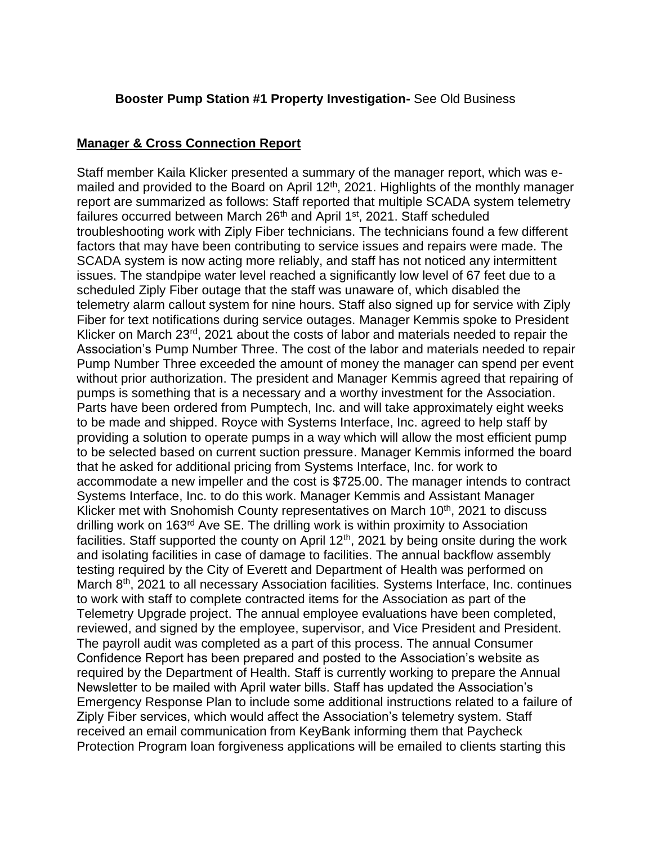### **Booster Pump Station #1 Property Investigation-** See Old Business

## **Manager & Cross Connection Report**

Staff member Kaila Klicker presented a summary of the manager report, which was emailed and provided to the Board on April 12<sup>th</sup>, 2021. Highlights of the monthly manager report are summarized as follows: Staff reported that multiple SCADA system telemetry failures occurred between March 26th and April 1st, 2021. Staff scheduled troubleshooting work with Ziply Fiber technicians. The technicians found a few different factors that may have been contributing to service issues and repairs were made. The SCADA system is now acting more reliably, and staff has not noticed any intermittent issues. The standpipe water level reached a significantly low level of 67 feet due to a scheduled Ziply Fiber outage that the staff was unaware of, which disabled the telemetry alarm callout system for nine hours. Staff also signed up for service with Ziply Fiber for text notifications during service outages. Manager Kemmis spoke to President Klicker on March 23<sup>rd</sup>, 2021 about the costs of labor and materials needed to repair the Association's Pump Number Three. The cost of the labor and materials needed to repair Pump Number Three exceeded the amount of money the manager can spend per event without prior authorization. The president and Manager Kemmis agreed that repairing of pumps is something that is a necessary and a worthy investment for the Association. Parts have been ordered from Pumptech, Inc. and will take approximately eight weeks to be made and shipped. Royce with Systems Interface, Inc. agreed to help staff by providing a solution to operate pumps in a way which will allow the most efficient pump to be selected based on current suction pressure. Manager Kemmis informed the board that he asked for additional pricing from Systems Interface, Inc. for work to accommodate a new impeller and the cost is \$725.00. The manager intends to contract Systems Interface, Inc. to do this work. Manager Kemmis and Assistant Manager Klicker met with Snohomish County representatives on March 10<sup>th</sup>, 2021 to discuss drilling work on 163rd Ave SE. The drilling work is within proximity to Association facilities. Staff supported the county on April  $12<sup>th</sup>$ , 2021 by being onsite during the work and isolating facilities in case of damage to facilities. The annual backflow assembly testing required by the City of Everett and Department of Health was performed on March 8<sup>th</sup>, 2021 to all necessary Association facilities. Systems Interface, Inc. continues to work with staff to complete contracted items for the Association as part of the Telemetry Upgrade project. The annual employee evaluations have been completed, reviewed, and signed by the employee, supervisor, and Vice President and President. The payroll audit was completed as a part of this process. The annual Consumer Confidence Report has been prepared and posted to the Association's website as required by the Department of Health. Staff is currently working to prepare the Annual Newsletter to be mailed with April water bills. Staff has updated the Association's Emergency Response Plan to include some additional instructions related to a failure of Ziply Fiber services, which would affect the Association's telemetry system. Staff received an email communication from KeyBank informing them that Paycheck Protection Program loan forgiveness applications will be emailed to clients starting this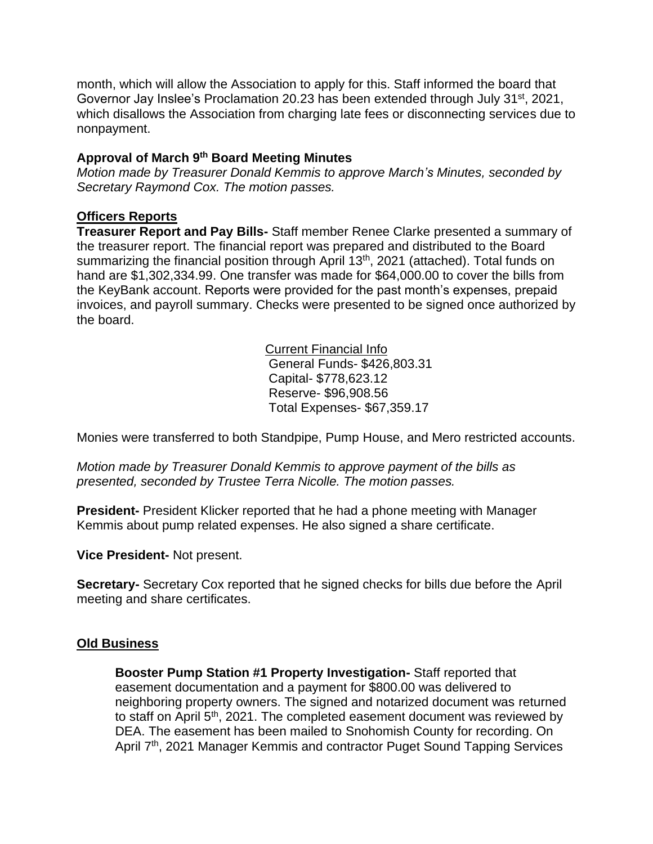month, which will allow the Association to apply for this. Staff informed the board that Governor Jay Inslee's Proclamation 20.23 has been extended through July 31<sup>st</sup>, 2021, which disallows the Association from charging late fees or disconnecting services due to nonpayment.

## **Approval of March 9 th Board Meeting Minutes**

*Motion made by Treasurer Donald Kemmis to approve March's Minutes, seconded by Secretary Raymond Cox. The motion passes.*

### **Officers Reports**

**Treasurer Report and Pay Bills-** Staff member Renee Clarke presented a summary of the treasurer report. The financial report was prepared and distributed to the Board summarizing the financial position through April 13<sup>th</sup>, 2021 (attached). Total funds on hand are \$1,302,334.99. One transfer was made for \$64,000.00 to cover the bills from the KeyBank account. Reports were provided for the past month's expenses, prepaid invoices, and payroll summary. Checks were presented to be signed once authorized by the board.

> Current Financial Info General Funds- \$426,803.31 Capital- \$778,623.12 Reserve- \$96,908.56 Total Expenses- \$67,359.17

Monies were transferred to both Standpipe, Pump House, and Mero restricted accounts.

*Motion made by Treasurer Donald Kemmis to approve payment of the bills as presented, seconded by Trustee Terra Nicolle. The motion passes.*

**President-** President Klicker reported that he had a phone meeting with Manager Kemmis about pump related expenses. He also signed a share certificate.

**Vice President-** Not present.

**Secretary-** Secretary Cox reported that he signed checks for bills due before the April meeting and share certificates.

# **Old Business**

**Booster Pump Station #1 Property Investigation-** Staff reported that easement documentation and a payment for \$800.00 was delivered to neighboring property owners. The signed and notarized document was returned to staff on April 5<sup>th</sup>, 2021. The completed easement document was reviewed by DEA. The easement has been mailed to Snohomish County for recording. On April 7<sup>th</sup>, 2021 Manager Kemmis and contractor Puget Sound Tapping Services